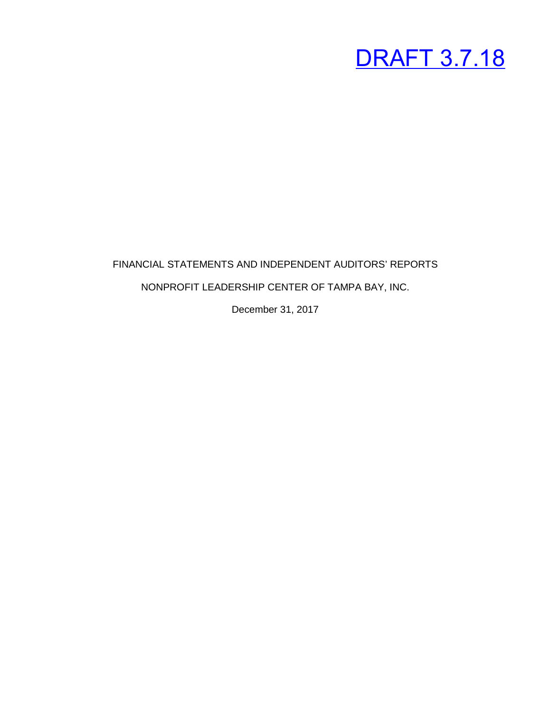#### FINANCIAL STATEMENTS AND INDEPENDENT AUDITORS' REPORTS

#### NONPROFIT LEADERSHIP CENTER OF TAMPA BAY, INC.

December 31, 2017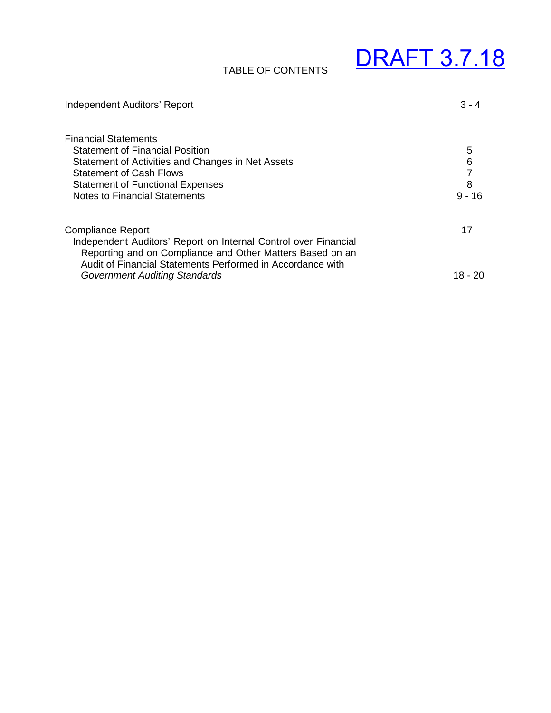#### TABLE OF CONTENTS

| Independent Auditors' Report                                                                                                                                                                                           | $3 - 4$       |
|------------------------------------------------------------------------------------------------------------------------------------------------------------------------------------------------------------------------|---------------|
| <b>Financial Statements</b><br><b>Statement of Financial Position</b><br>Statement of Activities and Changes in Net Assets<br><b>Statement of Cash Flows</b>                                                           | 5<br>6        |
| <b>Statement of Functional Expenses</b><br><b>Notes to Financial Statements</b>                                                                                                                                        | 8<br>$9 - 16$ |
| <b>Compliance Report</b><br>Independent Auditors' Report on Internal Control over Financial<br>Reporting and on Compliance and Other Matters Based on an<br>Audit of Financial Statements Performed in Accordance with | 17            |
| <b>Government Auditing Standards</b>                                                                                                                                                                                   | 18 - 20       |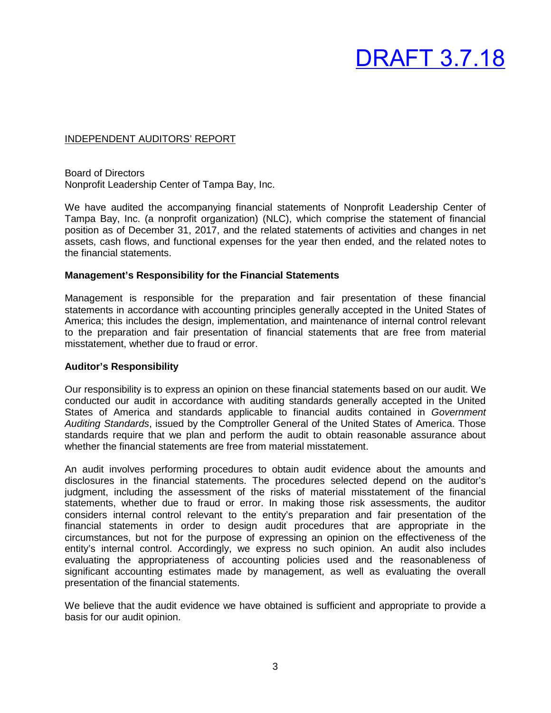#### INDEPENDENT AUDITORS' REPORT

Board of Directors Nonprofit Leadership Center of Tampa Bay, Inc.

We have audited the accompanying financial statements of Nonprofit Leadership Center of Tampa Bay, Inc. (a nonprofit organization) (NLC), which comprise the statement of financial position as of December 31, 2017, and the related statements of activities and changes in net assets, cash flows, and functional expenses for the year then ended, and the related notes to the financial statements.

#### **Management's Responsibility for the Financial Statements**

Management is responsible for the preparation and fair presentation of these financial statements in accordance with accounting principles generally accepted in the United States of America; this includes the design, implementation, and maintenance of internal control relevant to the preparation and fair presentation of financial statements that are free from material misstatement, whether due to fraud or error.

#### **Auditor's Responsibility**

Our responsibility is to express an opinion on these financial statements based on our audit. We conducted our audit in accordance with auditing standards generally accepted in the United States of America and standards applicable to financial audits contained in *Government Auditing Standards*, issued by the Comptroller General of the United States of America. Those standards require that we plan and perform the audit to obtain reasonable assurance about whether the financial statements are free from material misstatement.

An audit involves performing procedures to obtain audit evidence about the amounts and disclosures in the financial statements. The procedures selected depend on the auditor's judgment, including the assessment of the risks of material misstatement of the financial statements, whether due to fraud or error. In making those risk assessments, the auditor considers internal control relevant to the entity's preparation and fair presentation of the financial statements in order to design audit procedures that are appropriate in the circumstances, but not for the purpose of expressing an opinion on the effectiveness of the entity's internal control. Accordingly, we express no such opinion. An audit also includes evaluating the appropriateness of accounting policies used and the reasonableness of significant accounting estimates made by management, as well as evaluating the overall presentation of the financial statements.

We believe that the audit evidence we have obtained is sufficient and appropriate to provide a basis for our audit opinion.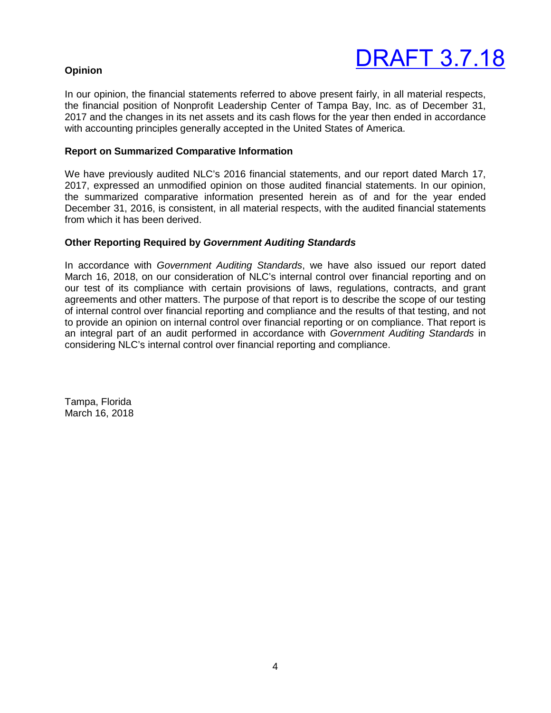#### **Opinion**

In our opinion, the financial statements referred to above present fairly, in all material respects, the financial position of Nonprofit Leadership Center of Tampa Bay, Inc. as of December 31, 2017 and the changes in its net assets and its cash flows for the year then ended in accordance with accounting principles generally accepted in the United States of America.

#### **Report on Summarized Comparative Information**

We have previously audited NLC's 2016 financial statements, and our report dated March 17, 2017, expressed an unmodified opinion on those audited financial statements. In our opinion, the summarized comparative information presented herein as of and for the year ended December 31, 2016, is consistent, in all material respects, with the audited financial statements from which it has been derived.

#### **Other Reporting Required by** *Government Auditing Standards*

In accordance with *Government Auditing Standards*, we have also issued our report dated March 16, 2018, on our consideration of NLC's internal control over financial reporting and on our test of its compliance with certain provisions of laws, regulations, contracts, and grant agreements and other matters. The purpose of that report is to describe the scope of our testing of internal control over financial reporting and compliance and the results of that testing, and not to provide an opinion on internal control over financial reporting or on compliance. That report is an integral part of an audit performed in accordance with *Government Auditing Standards* in considering NLC's internal control over financial reporting and compliance.

Tampa, Florida March 16, 2018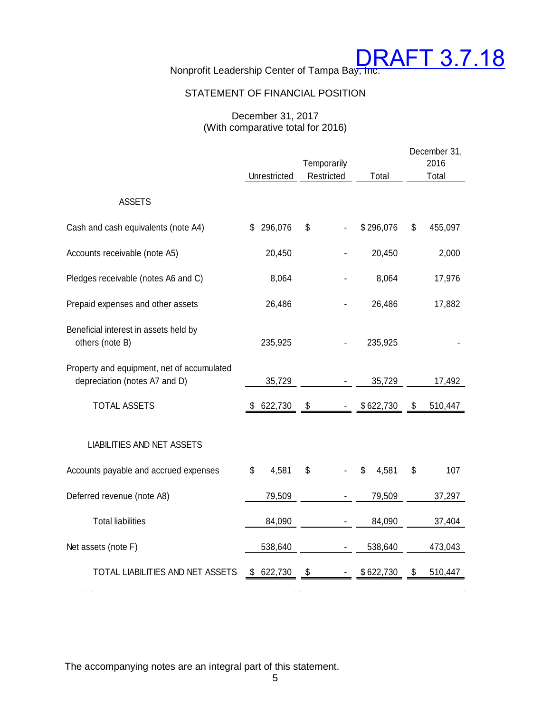

#### STATEMENT OF FINANCIAL POSITION

#### December 31, 2017 (With comparative total for 2016)

|                                                                             |               | December 31,<br>2016 |             |    |         |
|-----------------------------------------------------------------------------|---------------|----------------------|-------------|----|---------|
|                                                                             | Unrestricted  | Restricted           | Total       |    | Total   |
| <b>ASSETS</b>                                                               |               |                      |             |    |         |
| Cash and cash equivalents (note A4)                                         | 296,076<br>\$ | \$                   | \$296,076   | \$ | 455,097 |
| Accounts receivable (note A5)                                               | 20,450        |                      | 20,450      |    | 2,000   |
| Pledges receivable (notes A6 and C)                                         | 8,064         |                      | 8,064       |    | 17,976  |
| Prepaid expenses and other assets                                           | 26,486        |                      | 26,486      |    | 17,882  |
| Beneficial interest in assets held by<br>others (note B)                    | 235,925       |                      | 235,925     |    |         |
| Property and equipment, net of accumulated<br>depreciation (notes A7 and D) | 35,729        |                      | 35,729      |    | 17,492  |
| <b>TOTAL ASSETS</b>                                                         | 622,730<br>S. | \$                   | \$622,730   | \$ | 510,447 |
| <b>LIABILITIES AND NET ASSETS</b>                                           |               |                      |             |    |         |
| Accounts payable and accrued expenses                                       | 4,581<br>\$   | \$                   | 4,581<br>\$ | \$ | 107     |
| Deferred revenue (note A8)                                                  | 79,509        |                      | 79,509      |    | 37,297  |
| <b>Total liabilities</b>                                                    | 84,090        |                      | 84,090      |    | 37,404  |
| Net assets (note F)                                                         | 538,640       |                      | 538,640     |    | 473,043 |
| TOTAL LIABILITIES AND NET ASSETS                                            | 622,730<br>\$ | \$                   | \$622,730   | \$ | 510,447 |

The accompanying notes are an integral part of this statement.

 $\mathcal{L}(\mathcal{L}(\mathcal{L}(\mathcal{L}(\mathcal{L}(\mathcal{L}(\mathcal{L}(\mathcal{L}(\mathcal{L}(\mathcal{L}(\mathcal{L}(\mathcal{L}(\mathcal{L}(\mathcal{L}(\mathcal{L}(\mathcal{L}(\mathcal{L}(\mathcal{L}(\mathcal{L}(\mathcal{L}(\mathcal{L}(\mathcal{L}(\mathcal{L}(\mathcal{L}(\mathcal{L}(\mathcal{L}(\mathcal{L}(\mathcal{L}(\mathcal{L}(\mathcal{L}(\mathcal{L}(\mathcal{L}(\mathcal{L}(\mathcal{L}(\mathcal{L}(\mathcal{L}(\mathcal{$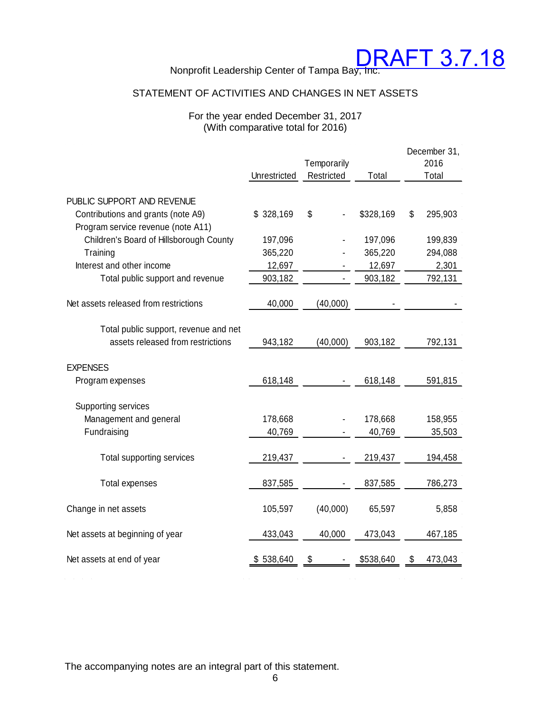Nonprofit Leadership Center of Tampa Bay, Inc.

#### STATEMENT OF ACTIVITIES AND CHANGES IN NET ASSETS

#### For the year ended December 31, 2017 (With comparative total for 2016)

|                                         |              |             |           | December 31,  |
|-----------------------------------------|--------------|-------------|-----------|---------------|
|                                         |              | Temporarily |           | 2016          |
|                                         | Unrestricted | Restricted  | Total     | Total         |
|                                         |              |             |           |               |
| PUBLIC SUPPORT AND REVENUE              |              |             |           |               |
| Contributions and grants (note A9)      | \$328,169    | \$          | \$328,169 | \$<br>295,903 |
| Program service revenue (note A11)      |              |             |           |               |
| Children's Board of Hillsborough County | 197,096      |             | 197,096   | 199,839       |
| Training                                | 365,220      |             | 365,220   | 294,088       |
| Interest and other income               | 12,697       |             | 12,697    | 2,301         |
| Total public support and revenue        | 903,182      |             | 903,182   | 792,131       |
|                                         |              |             |           |               |
| Net assets released from restrictions   | 40,000       | (40,000)    |           |               |
|                                         |              |             |           |               |
| Total public support, revenue and net   |              |             |           |               |
| assets released from restrictions       | 943,182      | (40,000)    | 903,182   | 792,131       |
|                                         |              |             |           |               |
| <b>EXPENSES</b>                         |              |             |           |               |
|                                         |              |             |           |               |
| Program expenses                        | 618,148      |             | 618,148   | 591,815       |
|                                         |              |             |           |               |
| Supporting services                     |              |             |           |               |
| Management and general                  | 178,668      |             | 178,668   | 158,955       |
| Fundraising                             | 40,769       |             | 40,769    | 35,503        |
|                                         |              |             |           |               |
| Total supporting services               | 219,437      |             | 219,437   | 194,458       |
|                                         |              |             |           |               |
| Total expenses                          | 837,585      |             | 837,585   | 786,273       |
|                                         |              |             |           |               |
| Change in net assets                    | 105,597      | (40,000)    | 65,597    | 5,858         |
|                                         |              |             |           |               |
| Net assets at beginning of year         | 433,043      | 40,000      | 473,043   | 467,185       |
|                                         |              |             |           |               |
| Net assets at end of year               | 538,640      | \$          | \$538,640 | \$<br>473,043 |

The accompanying notes are an integral part of this statement.

 $\mathcal{L}(\mathbf{r})$  and  $\mathcal{L}(\mathbf{r})$  are the set of the set of the set of the set of the set of the set of the set of the set of the set of the set of the set of the set of the set of the set of the set of the set of the set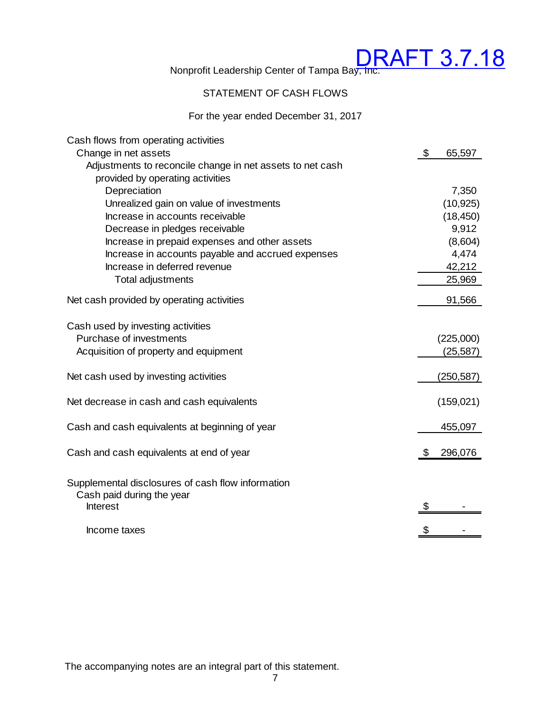#### STATEMENT OF CASH FLOWS

#### For the year ended December 31, 2017

| Cash flows from operating activities                                           |               |
|--------------------------------------------------------------------------------|---------------|
| Change in net assets                                                           | \$<br>65,597  |
| Adjustments to reconcile change in net assets to net cash                      |               |
| provided by operating activities                                               |               |
| Depreciation                                                                   | 7,350         |
| Unrealized gain on value of investments                                        | (10, 925)     |
| Increase in accounts receivable                                                | (18, 450)     |
| Decrease in pledges receivable                                                 | 9,912         |
| Increase in prepaid expenses and other assets                                  | (8,604)       |
| Increase in accounts payable and accrued expenses                              | 4,474         |
| Increase in deferred revenue                                                   | 42,212        |
| <b>Total adjustments</b>                                                       | 25,969        |
| Net cash provided by operating activities                                      | 91,566        |
| Cash used by investing activities                                              |               |
| Purchase of investments                                                        | (225,000)     |
| Acquisition of property and equipment                                          | (25,587)      |
| Net cash used by investing activities                                          | (250,587)     |
| Net decrease in cash and cash equivalents                                      | (159, 021)    |
| Cash and cash equivalents at beginning of year                                 | 455,097       |
| Cash and cash equivalents at end of year                                       | \$<br>296,076 |
| Supplemental disclosures of cash flow information<br>Cash paid during the year |               |
| <b>Interest</b>                                                                | \$            |
| Income taxes                                                                   | \$            |

The accompanying notes are an integral part of this statement.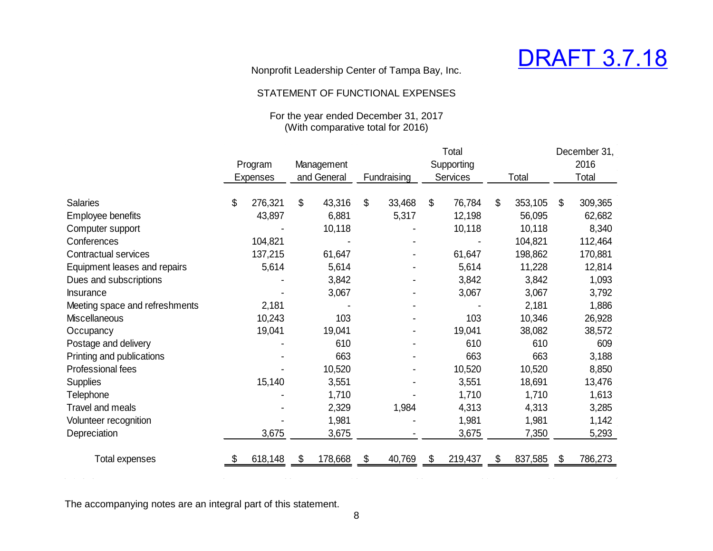

#### STATEMENT OF FUNCTIONAL EXPENSES

#### For the year ended December 31, 2017 (With comparative total for 2016)

|                                |                 |               |              |             |                | Total      |    |          |    | December 31, |  |       |
|--------------------------------|-----------------|---------------|--------------|-------------|----------------|------------|----|----------|----|--------------|--|-------|
|                                | Program         | Management    |              |             |                | Supporting |    |          |    | 2016         |  |       |
|                                | <b>Expenses</b> | and General   |              | Fundraising |                |            |    | Services |    | Total        |  | Total |
|                                |                 |               |              |             |                |            |    |          |    |              |  |       |
| <b>Salaries</b>                | \$<br>276,321   | \$<br>43,316  | $\mathbb{S}$ | 33,468      | $\mathfrak{S}$ | 76,784     | \$ | 353,105  | \$ | 309,365      |  |       |
| Employee benefits              | 43,897          | 6,881         |              | 5,317       |                | 12,198     |    | 56,095   |    | 62,682       |  |       |
| Computer support               |                 | 10,118        |              |             |                | 10,118     |    | 10,118   |    | 8,340        |  |       |
| Conferences                    | 104,821         |               |              |             |                |            |    | 104,821  |    | 112,464      |  |       |
| <b>Contractual services</b>    | 137,215         | 61,647        |              |             |                | 61,647     |    | 198,862  |    | 170,881      |  |       |
| Equipment leases and repairs   | 5,614           | 5,614         |              |             |                | 5,614      |    | 11,228   |    | 12,814       |  |       |
| Dues and subscriptions         |                 | 3,842         |              |             |                | 3,842      |    | 3,842    |    | 1,093        |  |       |
| <b>Insurance</b>               |                 | 3,067         |              |             |                | 3,067      |    | 3,067    |    | 3,792        |  |       |
| Meeting space and refreshments | 2,181           |               |              |             |                |            |    | 2,181    |    | 1,886        |  |       |
| <b>Miscellaneous</b>           | 10,243          | 103           |              |             |                | 103        |    | 10,346   |    | 26,928       |  |       |
| Occupancy                      | 19,041          | 19,041        |              |             |                | 19,041     |    | 38,082   |    | 38,572       |  |       |
| Postage and delivery           |                 | 610           |              |             |                | 610        |    | 610      |    | 609          |  |       |
| Printing and publications      |                 | 663           |              |             |                | 663        |    | 663      |    | 3,188        |  |       |
| Professional fees              |                 | 10,520        |              |             |                | 10,520     |    | 10,520   |    | 8,850        |  |       |
| <b>Supplies</b>                | 15,140          | 3,551         |              |             |                | 3,551      |    | 18,691   |    | 13,476       |  |       |
| Telephone                      |                 | 1,710         |              |             |                | 1,710      |    | 1,710    |    | 1,613        |  |       |
| Travel and meals               |                 | 2,329         |              | 1,984       |                | 4,313      |    | 4,313    |    | 3,285        |  |       |
| Volunteer recognition          |                 | 1,981         |              |             |                | 1,981      |    | 1,981    |    | 1,142        |  |       |
| Depreciation                   | 3,675           | 3,675         |              |             |                | 3,675      |    | 7,350    |    | 5,293        |  |       |
| Total expenses                 | 618,148         | \$<br>178,668 | S.           | 40,769      | \$             | 219,437    | \$ | 837,585  | -5 | 786,273      |  |       |
|                                |                 |               |              |             |                |            |    |          |    |              |  |       |

The accompanying notes are an integral part of this statement.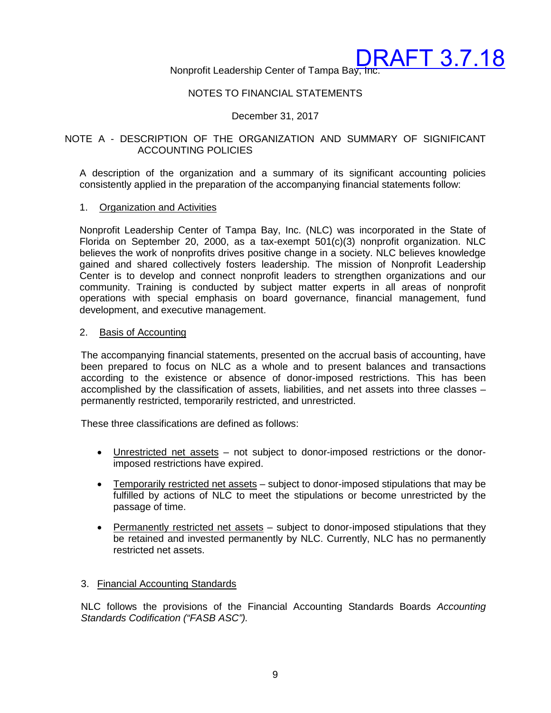Nonprofit Leadership Center of Tampa Bay, Inc.

#### NOTES TO FINANCIAL STATEMENTS

#### December 31, 2017

#### NOTE A - DESCRIPTION OF THE ORGANIZATION AND SUMMARY OF SIGNIFICANT ACCOUNTING POLICIES

A description of the organization and a summary of its significant accounting policies consistently applied in the preparation of the accompanying financial statements follow:

#### 1. Organization and Activities

Nonprofit Leadership Center of Tampa Bay, Inc. (NLC) was incorporated in the State of Florida on September 20, 2000, as a tax-exempt  $501(c)(3)$  nonprofit organization. NLC believes the work of nonprofits drives positive change in a society. NLC believes knowledge gained and shared collectively fosters leadership. The mission of Nonprofit Leadership Center is to develop and connect nonprofit leaders to strengthen organizations and our community. Training is conducted by subject matter experts in all areas of nonprofit operations with special emphasis on board governance, financial management, fund development, and executive management.

#### 2. Basis of Accounting

The accompanying financial statements, presented on the accrual basis of accounting, have been prepared to focus on NLC as a whole and to present balances and transactions according to the existence or absence of donor-imposed restrictions. This has been accomplished by the classification of assets, liabilities, and net assets into three classes – permanently restricted, temporarily restricted, and unrestricted.

These three classifications are defined as follows:

- Unrestricted net assets not subject to donor-imposed restrictions or the donorimposed restrictions have expired.
- Temporarily restricted net assets subject to donor-imposed stipulations that may be fulfilled by actions of NLC to meet the stipulations or become unrestricted by the passage of time.
- Permanently restricted net assets subject to donor-imposed stipulations that they be retained and invested permanently by NLC. Currently, NLC has no permanently restricted net assets.

#### 3. Financial Accounting Standards

NLC follows the provisions of the Financial Accounting Standards Boards *Accounting Standards Codification ("FASB ASC").*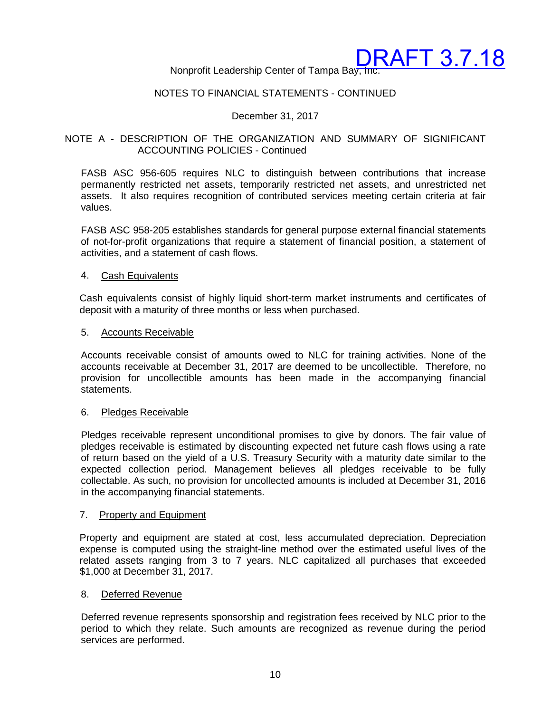Nonprofit Leadership Center of Tampa Bay, Inc.

#### NOTES TO FINANCIAL STATEMENTS - CONTINUED

#### December 31, 2017

#### NOTE A - DESCRIPTION OF THE ORGANIZATION AND SUMMARY OF SIGNIFICANT ACCOUNTING POLICIES - Continued

FASB ASC 956-605 requires NLC to distinguish between contributions that increase permanently restricted net assets, temporarily restricted net assets, and unrestricted net assets. It also requires recognition of contributed services meeting certain criteria at fair values.

FASB ASC 958-205 establishes standards for general purpose external financial statements of not-for-profit organizations that require a statement of financial position, a statement of activities, and a statement of cash flows.

#### 4. Cash Equivalents

Cash equivalents consist of highly liquid short-term market instruments and certificates of deposit with a maturity of three months or less when purchased.

#### 5. Accounts Receivable

Accounts receivable consist of amounts owed to NLC for training activities. None of the accounts receivable at December 31, 2017 are deemed to be uncollectible. Therefore, no provision for uncollectible amounts has been made in the accompanying financial statements.

#### 6. Pledges Receivable

Pledges receivable represent unconditional promises to give by donors. The fair value of pledges receivable is estimated by discounting expected net future cash flows using a rate of return based on the yield of a U.S. Treasury Security with a maturity date similar to the expected collection period. Management believes all pledges receivable to be fully collectable. As such, no provision for uncollected amounts is included at December 31, 2016 in the accompanying financial statements.

#### 7. Property and Equipment

Property and equipment are stated at cost, less accumulated depreciation. Depreciation expense is computed using the straight-line method over the estimated useful lives of the related assets ranging from 3 to 7 years. NLC capitalized all purchases that exceeded \$1,000 at December 31, 2017.

#### 8. Deferred Revenue

Deferred revenue represents sponsorship and registration fees received by NLC prior to the period to which they relate. Such amounts are recognized as revenue during the period services are performed.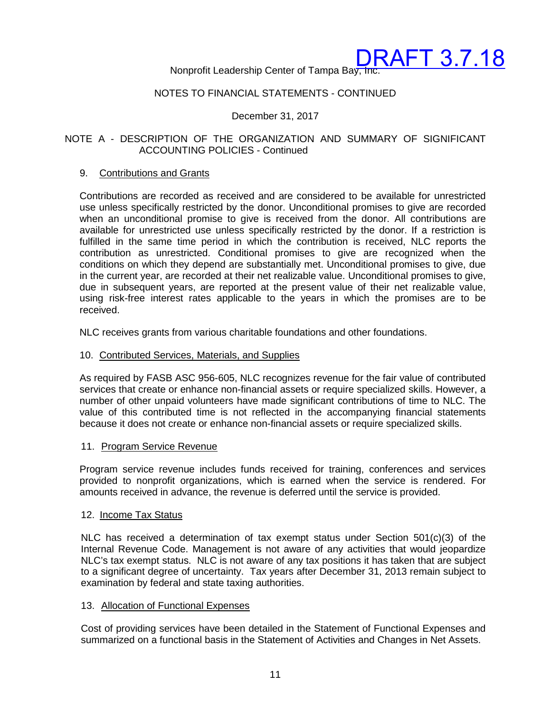#### Nonprofit Leadership Center of Tampa Bay, Inc.

#### NOTES TO FINANCIAL STATEMENTS - CONTINUED

#### December 31, 2017

#### NOTE A - DESCRIPTION OF THE ORGANIZATION AND SUMMARY OF SIGNIFICANT ACCOUNTING POLICIES - Continued

#### 9. Contributions and Grants

Contributions are recorded as received and are considered to be available for unrestricted use unless specifically restricted by the donor. Unconditional promises to give are recorded when an unconditional promise to give is received from the donor. All contributions are available for unrestricted use unless specifically restricted by the donor. If a restriction is fulfilled in the same time period in which the contribution is received, NLC reports the contribution as unrestricted. Conditional promises to give are recognized when the conditions on which they depend are substantially met. Unconditional promises to give, due in the current year, are recorded at their net realizable value. Unconditional promises to give, due in subsequent years, are reported at the present value of their net realizable value, using risk-free interest rates applicable to the years in which the promises are to be received.

NLC receives grants from various charitable foundations and other foundations.

#### 10. Contributed Services, Materials, and Supplies

As required by FASB ASC 956-605, NLC recognizes revenue for the fair value of contributed services that create or enhance non-financial assets or require specialized skills. However, a number of other unpaid volunteers have made significant contributions of time to NLC. The value of this contributed time is not reflected in the accompanying financial statements because it does not create or enhance non-financial assets or require specialized skills.

#### 11. Program Service Revenue

Program service revenue includes funds received for training, conferences and services provided to nonprofit organizations, which is earned when the service is rendered. For amounts received in advance, the revenue is deferred until the service is provided.

#### 12. Income Tax Status

NLC has received a determination of tax exempt status under Section 501(c)(3) of the Internal Revenue Code. Management is not aware of any activities that would jeopardize NLC's tax exempt status. NLC is not aware of any tax positions it has taken that are subject to a significant degree of uncertainty. Tax years after December 31, 2013 remain subject to examination by federal and state taxing authorities.

#### 13. Allocation of Functional Expenses

Cost of providing services have been detailed in the Statement of Functional Expenses and summarized on a functional basis in the Statement of Activities and Changes in Net Assets.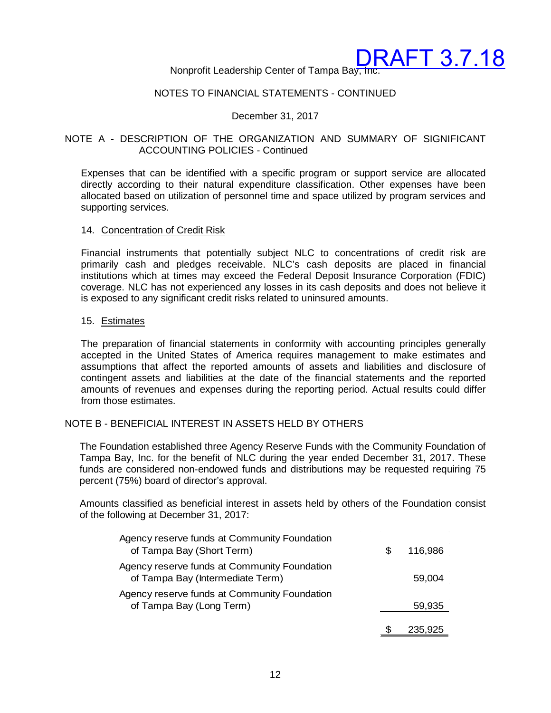Nonprofit Leadership Center of Tampa Bay, Inc.

#### NOTES TO FINANCIAL STATEMENTS - CONTINUED

#### December 31, 2017

#### NOTE A - DESCRIPTION OF THE ORGANIZATION AND SUMMARY OF SIGNIFICANT ACCOUNTING POLICIES - Continued

Expenses that can be identified with a specific program or support service are allocated directly according to their natural expenditure classification. Other expenses have been allocated based on utilization of personnel time and space utilized by program services and supporting services.

#### 14. Concentration of Credit Risk

Financial instruments that potentially subject NLC to concentrations of credit risk are primarily cash and pledges receivable. NLC's cash deposits are placed in financial institutions which at times may exceed the Federal Deposit Insurance Corporation (FDIC) coverage. NLC has not experienced any losses in its cash deposits and does not believe it is exposed to any significant credit risks related to uninsured amounts.

#### 15. Estimates

The preparation of financial statements in conformity with accounting principles generally accepted in the United States of America requires management to make estimates and assumptions that affect the reported amounts of assets and liabilities and disclosure of contingent assets and liabilities at the date of the financial statements and the reported amounts of revenues and expenses during the reporting period. Actual results could differ from those estimates.

#### NOTE B - BENEFICIAL INTEREST IN ASSETS HELD BY OTHERS

The Foundation established three Agency Reserve Funds with the Community Foundation of Tampa Bay, Inc. for the benefit of NLC during the year ended December 31, 2017. These funds are considered non-endowed funds and distributions may be requested requiring 75 percent (75%) board of director's approval.

Amounts classified as beneficial interest in assets held by others of the Foundation consist of the following at December 31, 2017:

| Agency reserve funds at Community Foundation<br>of Tampa Bay (Short Term)        | S | 116,986 |
|----------------------------------------------------------------------------------|---|---------|
| Agency reserve funds at Community Foundation<br>of Tampa Bay (Intermediate Term) |   | 59.004  |
| Agency reserve funds at Community Foundation<br>of Tampa Bay (Long Term)         |   | 59,935  |
|                                                                                  |   | 235.925 |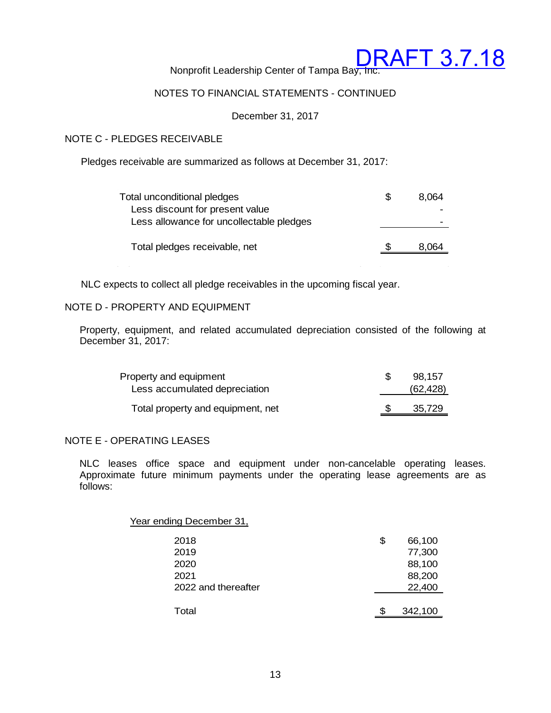$\sim$ 

Nonprofit Leadership Center of Tampa Bay, Inc.

#### NOTES TO FINANCIAL STATEMENTS - CONTINUED

December 31, 2017

#### NOTE C - PLEDGES RECEIVABLE

Pledges receivable are summarized as follows at December 31, 2017:

| Total unconditional pledges              | 8.064 |
|------------------------------------------|-------|
| Less discount for present value          |       |
| Less allowance for uncollectable pledges |       |
|                                          |       |
| Total pledges receivable, net            | 8.064 |
|                                          |       |

NLC expects to collect all pledge receivables in the upcoming fiscal year.

#### NOTE D - PROPERTY AND EQUIPMENT

Property, equipment, and related accumulated depreciation consisted of the following at December 31, 2017:

| Property and equipment            | 98.157    |
|-----------------------------------|-----------|
| Less accumulated depreciation     | (62, 428) |
| Total property and equipment, net | 35,729    |

#### NOTE E - OPERATING LEASES

NLC leases office space and equipment under non-cancelable operating leases. Approximate future minimum payments under the operating lease agreements are as follows:

| Year ending December 31, |              |
|--------------------------|--------------|
| 2018                     | \$<br>66,100 |
| 2019                     | 77,300       |
| 2020                     | 88,100       |
| 2021                     | 88,200       |
| 2022 and thereafter      | 22,400       |
| Total                    | 342,100      |
|                          |              |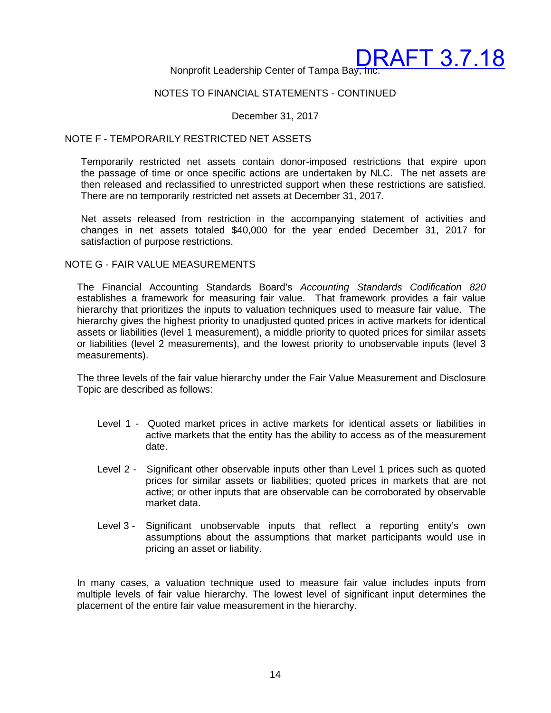Nonprofit Leadership Center of Tampa Bay, Inc.

#### NOTES TO FINANCIAL STATEMENTS - CONTINUED

December 31, 2017

#### NOTE F - TEMPORARILY RESTRICTED NET ASSETS

Temporarily restricted net assets contain donor-imposed restrictions that expire upon the passage of time or once specific actions are undertaken by NLC. The net assets are then released and reclassified to unrestricted support when these restrictions are satisfied. There are no temporarily restricted net assets at December 31, 2017.

Net assets released from restriction in the accompanying statement of activities and changes in net assets totaled \$40,000 for the year ended December 31, 2017 for satisfaction of purpose restrictions.

#### NOTE G - FAIR VALUE MEASUREMENTS

The Financial Accounting Standards Board's *Accounting Standards Codification 820* establishes a framework for measuring fair value. That framework provides a fair value hierarchy that prioritizes the inputs to valuation techniques used to measure fair value. The hierarchy gives the highest priority to unadjusted quoted prices in active markets for identical assets or liabilities (level 1 measurement), a middle priority to quoted prices for similar assets or liabilities (level 2 measurements), and the lowest priority to unobservable inputs (level 3 measurements).

The three levels of the fair value hierarchy under the Fair Value Measurement and Disclosure Topic are described as follows:

- Level 1 Quoted market prices in active markets for identical assets or liabilities in active markets that the entity has the ability to access as of the measurement date.
- Level 2 Significant other observable inputs other than Level 1 prices such as quoted prices for similar assets or liabilities; quoted prices in markets that are not active; or other inputs that are observable can be corroborated by observable market data.
- Level 3 Significant unobservable inputs that reflect a reporting entity's own assumptions about the assumptions that market participants would use in pricing an asset or liability.

In many cases, a valuation technique used to measure fair value includes inputs from multiple levels of fair value hierarchy. The lowest level of significant input determines the placement of the entire fair value measurement in the hierarchy.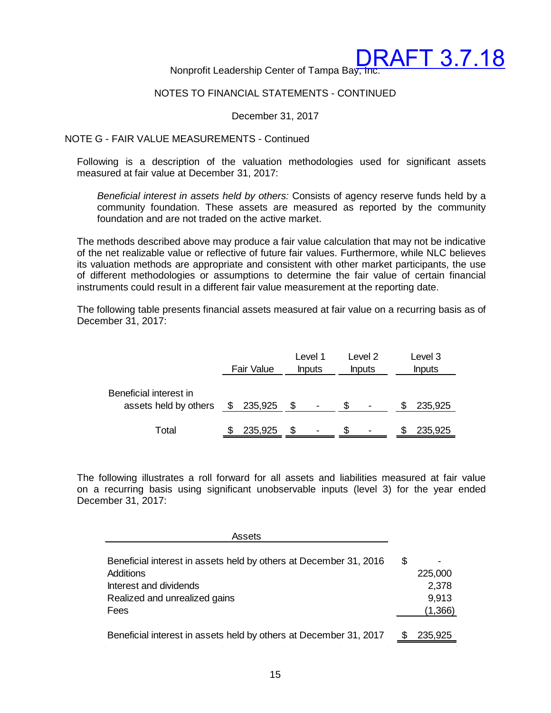Nonprofit Leadership Center of Tampa Bay, Inc.

#### NOTES TO FINANCIAL STATEMENTS - CONTINUED

December 31, 2017

#### NOTE G - FAIR VALUE MEASUREMENTS - Continued

Following is a description of the valuation methodologies used for significant assets measured at fair value at December 31, 2017:

*Beneficial interest in assets held by others:* Consists of agency reserve funds held by a community foundation. These assets are measured as reported by the community foundation and are not traded on the active market.

The methods described above may produce a fair value calculation that may not be indicative of the net realizable value or reflective of future fair values. Furthermore, while NLC believes its valuation methods are appropriate and consistent with other market participants, the use of different methodologies or assumptions to determine the fair value of certain financial instruments could result in a different fair value measurement at the reporting date.

The following table presents financial assets measured at fair value on a recurring basis as of December 31, 2017:

|                                                 | <b>Fair Value</b> |         | Level 1<br><b>Inputs</b> | Level 2<br><b>Inputs</b> | Level 3<br><b>Inputs</b> |
|-------------------------------------------------|-------------------|---------|--------------------------|--------------------------|--------------------------|
| Beneficial interest in<br>assets held by others | \$                | 235,925 |                          |                          | 235,925                  |
| Total                                           |                   | 235,925 |                          | $\overline{\phantom{0}}$ | 235,925                  |

The following illustrates a roll forward for all assets and liabilities measured at fair value on a recurring basis using significant unobservable inputs (level 3) for the year ended December 31, 2017:

| Assets                                                            |         |
|-------------------------------------------------------------------|---------|
| Beneficial interest in assets held by others at December 31, 2016 | \$      |
| Additions                                                         | 225,000 |
| Interest and dividends                                            | 2,378   |
| Realized and unrealized gains                                     | 9,913   |
| Fees                                                              | (1,366) |
| Beneficial interest in assets held by others at December 31, 2017 | 235,925 |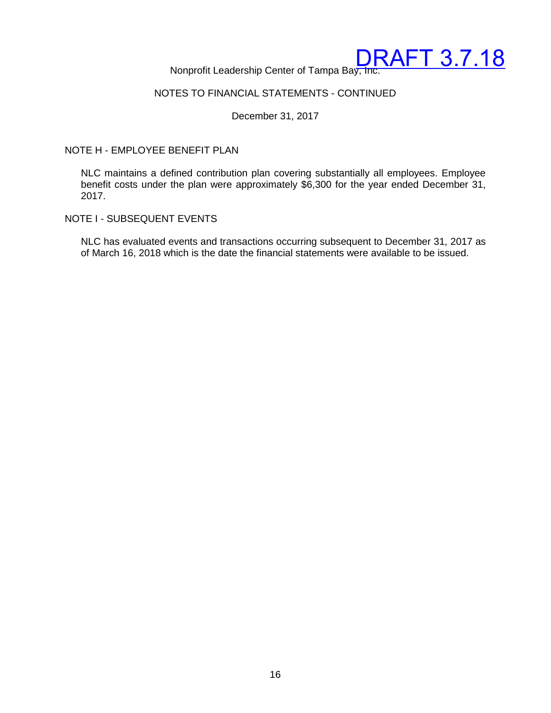

#### NOTES TO FINANCIAL STATEMENTS - CONTINUED

December 31, 2017

#### NOTE H - EMPLOYEE BENEFIT PLAN

NLC maintains a defined contribution plan covering substantially all employees. Employee benefit costs under the plan were approximately \$6,300 for the year ended December 31, 2017.

#### NOTE I - SUBSEQUENT EVENTS

NLC has evaluated events and transactions occurring subsequent to December 31, 2017 as of March 16, 2018 which is the date the financial statements were available to be issued.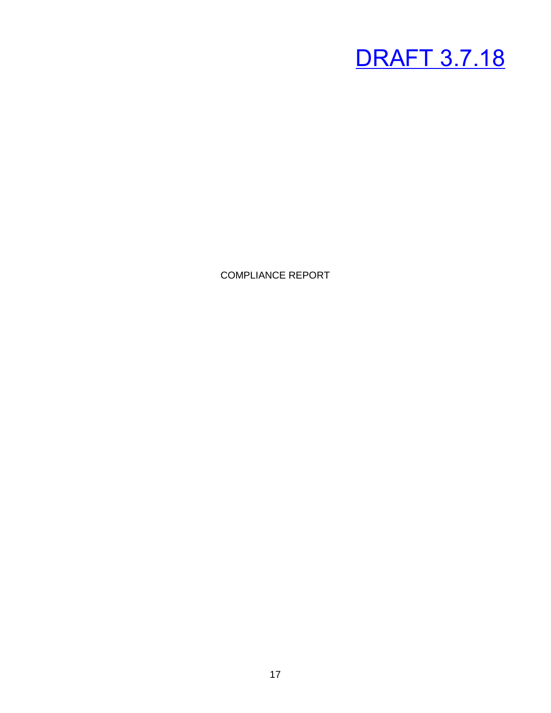COMPLIANCE REPORT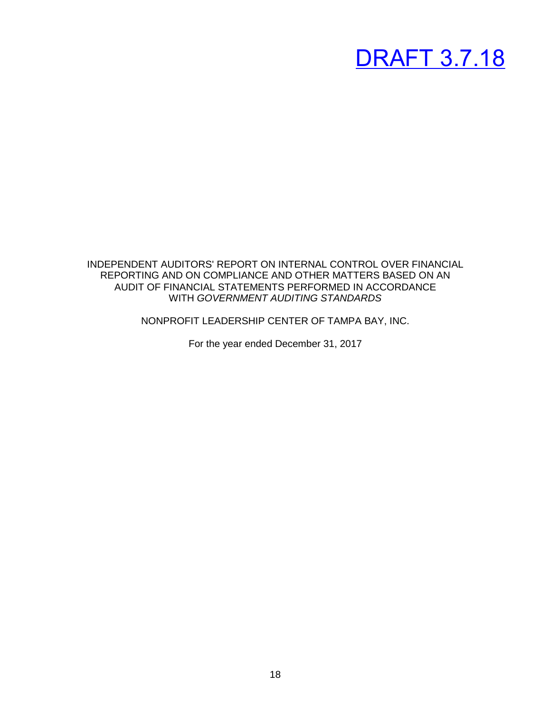INDEPENDENT AUDITORS' REPORT ON INTERNAL CONTROL OVER FINANCIAL REPORTING AND ON COMPLIANCE AND OTHER MATTERS BASED ON AN AUDIT OF FINANCIAL STATEMENTS PERFORMED IN ACCORDANCE WITH *GOVERNMENT AUDITING STANDARDS*

NONPROFIT LEADERSHIP CENTER OF TAMPA BAY, INC.

For the year ended December 31, 2017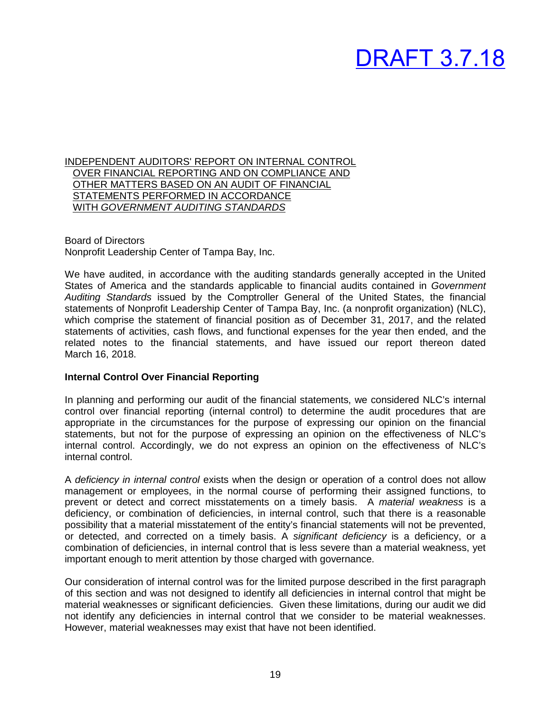INDEPENDENT AUDITORS' REPORT ON INTERNAL CONTROL OVER FINANCIAL REPORTING AND ON COMPLIANCE AND OTHER MATTERS BASED ON AN AUDIT OF FINANCIAL STATEMENTS PERFORMED IN ACCORDANCE WITH *GOVERNMENT AUDITING STANDARDS*

Board of Directors Nonprofit Leadership Center of Tampa Bay, Inc.

We have audited, in accordance with the auditing standards generally accepted in the United States of America and the standards applicable to financial audits contained in *Government Auditing Standards* issued by the Comptroller General of the United States, the financial statements of Nonprofit Leadership Center of Tampa Bay, Inc. (a nonprofit organization) (NLC), which comprise the statement of financial position as of December 31, 2017, and the related statements of activities, cash flows, and functional expenses for the year then ended, and the related notes to the financial statements, and have issued our report thereon dated March 16, 2018.

#### **Internal Control Over Financial Reporting**

In planning and performing our audit of the financial statements, we considered NLC's internal control over financial reporting (internal control) to determine the audit procedures that are appropriate in the circumstances for the purpose of expressing our opinion on the financial statements, but not for the purpose of expressing an opinion on the effectiveness of NLC's internal control. Accordingly, we do not express an opinion on the effectiveness of NLC's internal control.

A *deficiency in internal control* exists when the design or operation of a control does not allow management or employees, in the normal course of performing their assigned functions, to prevent or detect and correct misstatements on a timely basis. A *material weakness* is a deficiency, or combination of deficiencies, in internal control, such that there is a reasonable possibility that a material misstatement of the entity's financial statements will not be prevented, or detected, and corrected on a timely basis. A *significant deficiency* is a deficiency, or a combination of deficiencies, in internal control that is less severe than a material weakness, yet important enough to merit attention by those charged with governance.

Our consideration of internal control was for the limited purpose described in the first paragraph of this section and was not designed to identify all deficiencies in internal control that might be material weaknesses or significant deficiencies. Given these limitations, during our audit we did not identify any deficiencies in internal control that we consider to be material weaknesses. However, material weaknesses may exist that have not been identified.